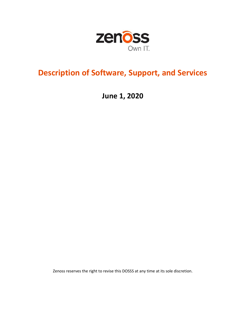

# **Description of Software, Support, and Services**

**June 1, 2020**

Zenoss reserves the right to revise this DOSSS at any time at its sole discretion.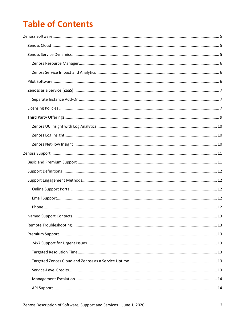# **Table of Contents**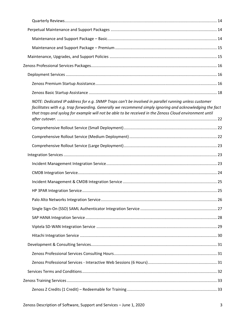| NOTE: Dedicated IP address for e.g. SNMP Traps can't be involved in parallel running unless customer<br>facilitates with e.g. trap forwarding. Generally we recommend simply ignoring and acknowledging the fact<br>that traps and syslog for example will not be able to be received in the Zenoss Cloud environment until |  |
|-----------------------------------------------------------------------------------------------------------------------------------------------------------------------------------------------------------------------------------------------------------------------------------------------------------------------------|--|
|                                                                                                                                                                                                                                                                                                                             |  |
|                                                                                                                                                                                                                                                                                                                             |  |
|                                                                                                                                                                                                                                                                                                                             |  |
|                                                                                                                                                                                                                                                                                                                             |  |
|                                                                                                                                                                                                                                                                                                                             |  |
|                                                                                                                                                                                                                                                                                                                             |  |
|                                                                                                                                                                                                                                                                                                                             |  |
|                                                                                                                                                                                                                                                                                                                             |  |
|                                                                                                                                                                                                                                                                                                                             |  |
|                                                                                                                                                                                                                                                                                                                             |  |
|                                                                                                                                                                                                                                                                                                                             |  |
|                                                                                                                                                                                                                                                                                                                             |  |
|                                                                                                                                                                                                                                                                                                                             |  |
|                                                                                                                                                                                                                                                                                                                             |  |
|                                                                                                                                                                                                                                                                                                                             |  |
|                                                                                                                                                                                                                                                                                                                             |  |
|                                                                                                                                                                                                                                                                                                                             |  |
|                                                                                                                                                                                                                                                                                                                             |  |
|                                                                                                                                                                                                                                                                                                                             |  |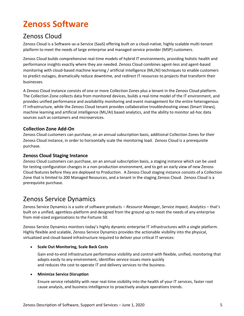# **Zenoss Software**

# Zenoss Cloud

Zenoss Cloud is a Software-as-a-Service (SaaS) offering built on a cloud-native, highly scalable multi-tenant platform to meet the needs of large enterprise and managed service provider (MSP) customers.

Zenoss Cloud builds comprehensive real-time models of hybrid IT environments, providing holistic health and performance insights exactly where they are needed. Zenoss Cloud combines agent-less and agent-based monitoring with cloud-based machine learning / artificial intelligence (ML/AI) techniques to enable customers to predict outages, dramatically reduce downtime, and redirect IT resources to projects that transform their businesses.

A Zenoss Cloud instance consists of one or more Collection Zones plus a tenant in the Zenoss Cloud platform. The Collection Zone collects data from monitored devices, builds a real-time model of the IT environment, and provides unified performance and availability monitoring and event management for the entire heterogenous IT infrastructure, while the Zenoss Cloud tenant provides collaborative troubleshooting views (Smart Views), machine learning and artificial intelligence (ML/AI) based analytics, and the ability to monitor ad-hoc data sources such as containers and microservices.

# **Collection Zone Add-On**

Zenoss Cloud customers can purchase, on an annual subscription basis, additional Collection Zones for their Zenoss Cloud instance, in order to horizontally scale the monitoring load. Zenoss Cloud is a prerequisite purchase.

# **Zenoss Cloud Staging Instance**

Zenoss Cloud customers can purchase, on an annual subscription basis, a staging instance which can be used for testing configuration changes in a non-production environment, and to get an early view of new Zenoss Cloud features before they are deployed to Production. A Zenoss Cloud staging instance consists of a Collection Zone that is limited to 200 Managed Resources, and a tenant in the staging Zenoss Cloud. Zenoss Cloud is a prerequisite purchase.

# Zenoss Service Dynamics

Zenoss Service Dynamics is a suite of software products – *Resource Manager*, *Service Impact, Analytics* – that's built on a unified, agentless-platform and designed from the ground up to meet the needs of any enterprise from mid-sized organizations to the Fortune 50.

Zenoss Service Dynamics monitors today's highly dynamic enterprise IT infrastructures with a single platform. Highly flexible and scalable, Zenoss Service Dynamics provides the actionable visibility into the physical, virtualized and cloud-based infrastructure required to deliver your critical IT services:

## • **Scale Out Monitoring, Scale Back Costs**

Gain end-to-end infrastructure performance visibility and control with flexible, unified, monitoring that adapts easily to any environment, identifies service issues more quickly and reduces the cost to operate IT and delivery services to the business.

## • **Minimize Service Disruption**

Ensure service reliability with near real-time visibility into the health of your IT services, faster root cause analysis, and business intelligence to proactively analyze operations trends.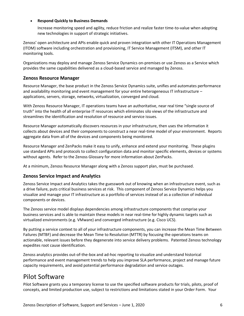#### • **Respond Quickly to Business Demands**

Increase monitoring speed and agility, reduce friction and realize faster time-to-value when adopting new technologies in support of strategic initiatives.

Zenoss' open architecture and APIs enable quick and proven integration with other IT Operations Management (ITOM) software including orchestration and provisioning, IT Service Management (ITSM), and other IT monitoring tools.

Organizations may deploy and manage Zenoss Service Dynamics on-premises or use Zenoss as a Service which provides the same capabilities delivered as a cloud-based service and managed by Zenoss.

# **Zenoss Resource Manager**

Resource Manager, the base product in the Zenoss Service Dynamics suite, unifies and automates performance and availability monitoring and event management for your entire heterogeneous IT infrastructure – applications, servers, storage, networks, virtualization, converged and cloud.

With Zenoss Resource Manager, IT operations teams have an authoritative, near real time "single source of truth" into the health of all enterprise IT resources which eliminates silo views of the infrastructure and streamlines the identification and resolution of resource and service issues.

Resource Manager automatically discovers resources in your infrastructure, then uses the information it collects about devices and their components to construct a near real-time model of your environment. Reports aggregate data from all of the devices and components being monitored.

Resource Manager and ZenPacks make it easy to unify, enhance and extend your monitoring. These plugins use standard APIs and protocols to collect configuration data and monitor specific elements, devices or systems without agents. Refer to the Zenoss Glossary for more information about ZenPacks.

At a minimum, Zenoss Resource Manager along with a Zenoss support plan, must be purchased.

# **Zenoss Service Impact and Analytics**

Zenoss Service Impact and Analytics takes the guesswork out of knowing when an infrastructure event, such as a drive failure, puts critical business services at risk. This component of Zenoss Service Dynamics helps you visualize and manage your IT infrastructure as a portfolio of services instead of as a collection of individual components or devices.

The Zenoss service model displays dependencies among infrastructure components that comprise your business services and is able to maintain these models in near real-time for highly dynamic targets such as virtualized environments (e.g. VMware) and converged infrastructure (e.g. Cisco UCS).

By putting a service context to all of your infrastructure components, you can increase the Mean Time Between Failures (MTBF) and decrease the Mean Time to Resolution (MTTR) by focusing the operations teams on actionable, relevant issues before they degenerate into service delivery problems. Patented Zenoss technology expedites root cause identification.

Zenoss analytics provides out-of-the-box and ad-hoc reporting to visualize and understand historical performance and event management trends to help you improve SLA performance, project and manage future capacity requirements, and avoid potential performance degradation and service outages.

# Pilot Software

Pilot Software grants you a temporary license to use the specified software products for trials, pilots, proof of concepts, and limited production use, subject to restrictions and limitations stated in your Order Form. Your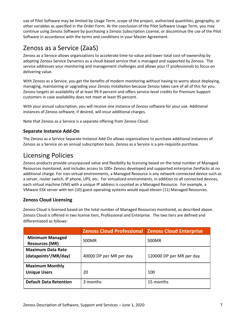use of Pilot Software may be limited by Usage Term, scope of the project, authorized quantities, geography, or other variables as specified in the Order Form. At the conclusion of the Pilot Software Usage Term, you may continue using Zenoss Software by purchasing a Zenoss Subscription License, or discontinue the use of the Pilot Software in accordance with the terms and conditions in your Master Agreement.

# Zenoss as a Service (ZaaS)

Zenoss as a Service allows organizations to accelerate time-to-value and lower total cost-of-ownership by adopting Zenoss Service Dynamics as a cloud-based service that is managed and supported by Zenoss. The service addresses your monitoring and management challenges and allows your IT professionals to focus on delivering value.

With Zenoss as a Service, you get the benefits of modern monitoring without having to worry about deploying, managing, maintaining or upgrading your Zenoss installation because Zenoss takes care of all of this for you. Zenoss targets an availability of at least 99.9 percent and offers service-level credits for Premium Support customers in case availability does not meet at least 95 percent.

With your annual subscription, you will receive one instance of Zenoss software for your use. Additional instances of Zenoss software, if desired, will incur additional charges.

Note that Zenoss as a Service is a separate offering from Zenoss Cloud.

# **Separate Instance Add-On**

The Zenoss as a Service Separate Instance Add-On allows organizations to purchase additional instances of Zenoss as a Service on an annual subscription basis. Zenoss as a Service is a pre-requisite purchase.

# Licensing Policies

Zenoss products provide unsurpassed value and flexibility by licensing based on the total number of Managed Resources monitored, and includes access to 100+ Zenoss developed and supported enterprise ZenPacks at no additional charge. For non-virtual environments, a Managed Resource is any network-connected device such as a server, router switch, IP phone, UPS, etc. For virtualized environments, in addition to all connected devices, each virtual machine (VM) with a unique IP address is counted as a Managed Resource. For example, a VMware ESX server with ten (10) guest operating systems would equal eleven (11) Managed Resources.

# **Zenoss Cloud Licensing**

Zenoss Cloud is licensed based on the total number of Managed Resources monitored, as described above. Zenoss Cloud is offered in two license tiers, Professional and Enterprise. The two tiers are defined and differentiated as follows:

|                                                               | <b>Zenoss Cloud Professional Zenoss Cloud Enterprise</b> |                          |
|---------------------------------------------------------------|----------------------------------------------------------|--------------------------|
| <b>Minimum Managed</b><br><b>Resources (MR)</b>               | 500MR                                                    | 500MR                    |
| <b>Maximum Data Rate</b><br>(datapoints <sup>1</sup> /MR/day) | 40000 DP per MR per day                                  | 120000 DP per MR per day |
| <b>Maximum Monthly</b><br><b>Unique Users</b>                 | 20                                                       | 100                      |
| <b>Default Data Retention</b>                                 | 3 months                                                 | 15 months                |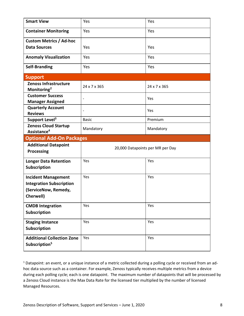| <b>Smart View</b>                                                                                  | Yes          | Yes                              |
|----------------------------------------------------------------------------------------------------|--------------|----------------------------------|
| <b>Container Monitoring</b>                                                                        | Yes          | Yes                              |
| <b>Custom Metrics / Ad-hoc</b>                                                                     |              |                                  |
| <b>Data Sources</b>                                                                                | Yes          | Yes                              |
| <b>Anomaly Visualization</b>                                                                       | Yes          | Yes                              |
| <b>Self-Branding</b>                                                                               | Yes          | Yes                              |
| <b>Support</b>                                                                                     |              |                                  |
| Zenoss Infrastructure<br>Monitoring <sup>2</sup>                                                   | 24 x 7 x 365 | 24 x 7 x 365                     |
| <b>Customer Success</b><br><b>Manager Assigned</b>                                                 |              | Yes                              |
| <b>Quarterly Account</b><br><b>Reviews</b>                                                         |              | Yes                              |
| Support Level <sup>3</sup>                                                                         | <b>Basic</b> | Premium                          |
| <b>Zenoss Cloud Startup</b><br>Assistance <sup>4</sup>                                             | Mandatory    | Mandatory                        |
|                                                                                                    |              |                                  |
| <b>Optional Add-On Packages</b>                                                                    |              |                                  |
| <b>Additional Datapoint</b><br><b>Processing</b>                                                   |              | 20,000 Datapoints per MR per Day |
| <b>Longer Data Retention</b><br>Subscription                                                       | Yes          | Yes                              |
| <b>Incident Management</b><br><b>Integration Subscription</b><br>(ServiceNow, Remedy,<br>Cherwell) | Yes          | Yes                              |
| <b>CMDB Integration</b><br>Subscription                                                            | Yes          | Yes                              |
| <b>Staging Instance</b><br>Subscription                                                            | Yes          | Yes                              |

<sup>1</sup> Datapoint: an event, or a unique instance of a metric collected during a polling cycle or received from an adhoc data source such as a container. For example, Zenoss typically receives multiple metrics from a device during each polling cycle; each is one datapoint. The maximum number of datapoints that will be processed by a Zenoss Cloud instance is the Max Data Rate for the licensed tier multiplied by the number of licensed Managed Resources.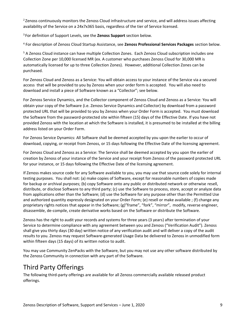<sup>2</sup> Zenoss continuously monitors the Zenoss Cloud infrastructure and service, and will address issues affecting availability of the Service on a 24x7x365 basis, regardless of the tier of Service licensed.

<sup>3</sup> For definition of Support Levels, see the **Zenoss Support** section below.

<sup>4</sup> For description of Zenoss Cloud Startup Assistance, see **Zenoss Professional Services Packages** section below.

<sup>5</sup> A Zenoss Cloud instance can have multiple Collection Zones. Each Zenoss Cloud subscription includes one Collection Zone per 10,000 licensed MR (ex. A customer who purchases Zenoss Cloud for 30,000 MR is automatically licensed for up to three Collection Zones). However, additional Collection Zones can be purchased.

For Zenoss Cloud and Zenoss as a Service: You will obtain access to your instance of the Service via a secured access that will be provided to you by Zenoss when your order form is accepted. You will also need to download and install a piece of Software known as a "Collector"; see below.

For Zenoss Service Dynamics, and the Collector component of Zenoss Cloud and Zenoss as a Service: You will obtain your copy of the Software (i.e. Zenoss Service Dynamics and Collector) by download from a password protected URL that will be provided to you by Zenoss when your Order Form is accepted. You must download the Software from the password-protected site within fifteen (15) days of the Effective Date. If you have not provided Zenoss with the location at which the Software is installed, it is presumed to be installed at the billing address listed on your Order Form.

For Zenoss Service Dynamics: All Software shall be deemed accepted by you upon the earlier to occur of download, copying, or receipt from Zenoss, or 15 days following the Effective Date of the licensing agreement.

For Zenoss Cloud and Zenoss as a Service: The Service shall be deemed accepted by you upon the earlier of creation by Zenoss of your instance of the Service and your receipt from Zenoss of the password protected URL for your instance, or 15 days following the Effective Date of the licensing agreement.

If Zenoss makes source code for any Software available to you, you may use that source code solely for internal testing purposes. You shall not: (a) make copies of Software, except for reasonable numbers of copies made for backup or archival purposes; (b) copy Software onto any public or distributed network or otherwise resell, distribute, or disclose Software to any third party; (c) use the Software to process, store, accept or analyze data from applications other than the Software; (d) use the Software for any purpose other than the Permitted Use and authorized quantity expressly designated on your Order Form; (e) resell or make available ; (f) change any proprietary rights notices that appear in the Software; (g)"frame", "fork", "mirror", modify, reverse engineer, disassemble, de-compile, create derivative works based on the Software or distribute the Software.

Zenoss has the right to audit your records and systems for three years (3 years) after termination of your Service to determine compliance with any agreement between you and Zenoss ("Verification Audit"). Zenoss shall give you thirty days (30 day) written notice of any verification audit and will deliver a copy of the audit results to you. Zenoss may request Software-generated Usage Data be delivered to Zenoss in unmodified form within fifteen days (15 days) of its written notice to audit.

You may use Community ZenPacks with the Software, but you may not use any other software distributed by the Zenoss Community in connection with any part of the Software.

# Third Party Offerings

The following third-party offerings are available for all Zenoss commercially available released product offerings.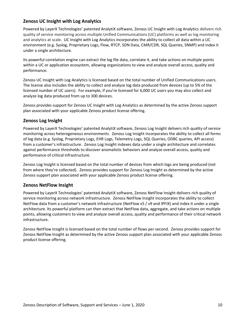# **Zenoss UC Insight with Log Analytics**

Powered by LayerX Technologies' patented AnalytiX software, Zenoss UC Insight with Log Analytics delivers rich quality of service monitoring across multiple Unified Communications (UC) platforms as well as log monitoring and analytics at scale. UC Insight with Log Analytics incorporates the ability to collect all data within a UC environment (e.g. Syslog, Proprietary Logs, Flow, RTCP, SDN Data, CMR/CDR, SQL Queries, SNMP) and index it under a single architecture.

Its powerful correlation engine can extract the log file data, correlate it, and take actions on multiple points within a UC or application ecosystem, allowing organizations to view and analyze overall access, quality and performance.

Zenoss UC Insight with Log Analytics is licensed based on the total number of Unified Communications users. The license also includes the ability to collect and analyze log data produced from devices (up to 5% of the licensed number of UC users). For example, if you're licensed for 6,000 UC users you may also collect and analyze log data produced from up to 300 devices.

Zenoss provides support for Zenoss UC Insight with Log Analytics as determined by the active Zenoss support plan associated with your applicable Zenoss product license offering.

# **Zenoss Log Insight**

Powered by LayerX Technologies' patented AnalytiX software, Zenoss Log Insight delivers rich quality of service monitoring across heterogeneous environments. Zenoss Log Insight incorporates the ability to collect all forms of log data (e.g. Syslog, Proprietary Logs, EHR Logs, Telemetry Logs, SQL Queries, ODBC queries, API access) from a customer's infrastructure. Zenoss Log Insight indexes data under a single architecture and correlates against performance thresholds to discover anomalistic behaviors and analyze overall access, quality and performance of critical infrastructure.

Zenoss Log Insight is licensed based on the total number of devices from which logs are being produced (not from where they're collected). Zenoss provides support for Zenoss Log Insight as determined by the active Zenoss support plan associated with your applicable Zenoss product license offering.

# **Zenoss NetFlow Insight**

Powered by LayerX Technologies' patented AnalytiX software, Zenoss NetFlow Insight delivers rich quality of service monitoring across network infrastructure. Zenoss NetFlow Insight incorporates the ability to collect NetFlow data from a customer's network infrastructure (NetFlow v5 / v9 and IPFIX) and index it under a single architecture. Its powerful platform can then extract that NetFlow data, aggregate, and take actions on multiple points, allowing customers to view and analyze overall access, quality and performance of their critical network infrastructure.

Zenoss NetFlow Insight is licensed based on the total number of flows per second. Zenoss provides support for Zenoss NetFlow Insight as determined by the active Zenoss support plan associated with your applicable Zenoss product license offering.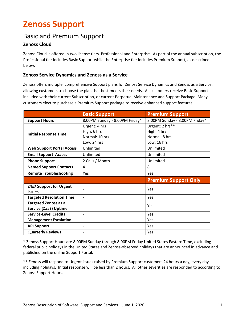# **Zenoss Support**

# Basic and Premium Support

# **Zenoss Cloud**

Zenoss Cloud is offered in two license tiers, Professional and Enterprise. As part of the annual subscription, the Professional tier includes Basic Support while the Enterprise tier includes Premium Support, as described below.

# **Zenoss Service Dynamics and Zenoss as a Service**

Zenoss offers multiple, comprehensive Support plans for Zenoss Service Dynamics and Zenoss as a Service, allowing customers to choose the plan that best meets their needs. All customers receive Basic Support included with their current Subscription, or current Perpetual Maintenance and Support Package. Many customers elect to purchase a Premium Support package to receive enhanced support features.

|                                  | <b>Basic Support</b>           | <b>Premium Support</b>         |
|----------------------------------|--------------------------------|--------------------------------|
| <b>Support Hours</b>             | 8:00PM Sunday - 8:00PM Friday* | 8:00PM Sunday - 8:00PM Friday* |
|                                  | Urgent: 4 hrs                  | Urgent: 2 hrs**                |
| <b>Initial Response Time</b>     | High: 6 hrs                    | High: 4 hrs                    |
|                                  | Normal: 10 hrs                 | Normal: 8 hrs                  |
|                                  | Low: 24 hrs                    | Low: 16 hrs                    |
| <b>Web Support Portal Access</b> | Unlimited                      | Unlimited                      |
| <b>Email Support Access</b>      | Unlimited                      | Unlimited                      |
| <b>Phone Support</b>             | 2 Calls / Month                | Unlimited                      |
| <b>Named Support Contacts</b>    | 4                              | 8                              |
| <b>Remote Troubleshooting</b>    | Yes                            | <b>Yes</b>                     |
|                                  |                                | <b>Premium Support Only</b>    |
| 24x7 Support for Urgent          |                                | Yes                            |
| <b>Issues</b>                    |                                |                                |
| <b>Targeted Resolution Time</b>  | $\overline{\phantom{0}}$       | <b>Yes</b>                     |
| <b>Targeted Zenoss as a</b>      |                                | Yes                            |
| <b>Service (ZaaS) Uptime</b>     |                                |                                |
| <b>Service-Level Credits</b>     | $\overline{\phantom{0}}$       | Yes                            |
| <b>Management Escalation</b>     | $\overline{\phantom{a}}$       | Yes                            |
| <b>API Support</b>               |                                | <b>Yes</b>                     |
| <b>Quarterly Reviews</b>         |                                | Yes                            |

\* Zenoss Support Hours are 8:00PM Sunday through 8:00PM Friday United States Eastern Time, excluding federal public holidays in the United States and Zenoss-observed holidays that are announced in advance and published on the online Support Portal.

\*\* Zenoss will respond to Urgent issues raised by Premium Support customers 24 hours a day, every day including holidays. Initial response will be less than 2 hours. All other severities are responded to according to Zenoss Support Hours.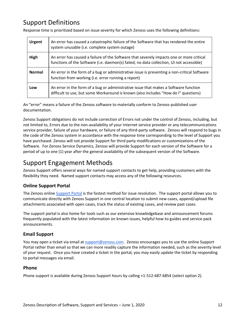# Support Definitions

Response time is prioritized based on issue severity for which Zenoss uses the following definitions:

| <b>Urgent</b> | An error has caused a catastrophic failure of the Software that has rendered the entire<br>system unusable (i.e. complete system outage)                                             |
|---------------|--------------------------------------------------------------------------------------------------------------------------------------------------------------------------------------|
| High          | An error has caused a failure of the Software that severely impacts one or more critical<br>functions of the Software (i.e. daemon(s) failed, no data collection, UI not accessible) |
| <b>Normal</b> | An error in the form of a bug or administrative issue is preventing a non-critical Software<br>function from working (i.e. error running a report)                                   |
| Low           | An error in the form of a bug or administrative issue that makes a Software function<br>difficult to use, but some Workaround is known (also includes "How do I" questions)          |

An "error" means a failure of the Zenoss software to materially conform to Zenoss-published user documentation.

Zenoss Support obligations do not include correction of Errors not under the control of Zenoss, including, but not limited to, Errors due to the non-availability of your Internet service provider or any telecommunications service provider, failure of your hardware, or failure of any third-party software. Zenoss will respond to bugs in the code of the Zenoss system in accordance with the response time corresponding to the level of Support you have purchased. Zenoss will not provide Support for third party modifications or customizations of the Software. For Zenoss Service Dynamics, Zenoss will provide Support for each version of the Software for a period of up to one (1) year after the general availability of the subsequent version of the Software.

# Support Engagement Methods

Zenoss Support offers several ways for named support contacts to get help, providing customers with the flexibility they need. Named support contacts may access any of the following resources.

# **Online Support Portal**

The Zenoss online [Support Portal](https://support.zenoss.com/) is the fastest method for issue resolution. The support portal allows you to communicate directly with Zenoss Support in one central location to submit new cases, append/upload file attachments associated with open cases, track the status of existing cases, and review past cases.

The support portal is also home for tools such as our extensive knowledgebase and announcement forums frequently populated with the latest information on known issues, helpful how-to guides and service pack announcements.

# **Email Support**

You may open a ticket via email at [support@zenoss.com.](mailto:support@zenoss.com) Zenoss encourages you to use the online Support Portal rather than email so that we can more readily capture the information needed, such as the severity level of your request. Once you have created a ticket in the portal, you may easily update the ticket by responding to portal messages via email.

# **Phone**

Phone support is available during Zenoss Support hours by calling +1-512-687-6854 (select option 2).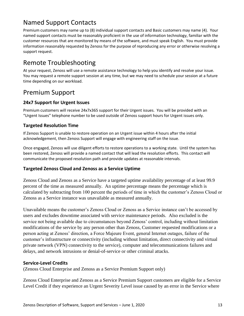# Named Support Contacts

Premium customers may name up to (8) individual support contacts and Basic customers may name (4). Your named support contacts must be reasonably proficient in the use of information technology, familiar with the customer resources that are monitored by means of the software, and must speak English. You must provide information reasonably requested by Zenoss for the purpose of reproducing any error or otherwise resolving a support request.

# Remote Troubleshooting

At your request, Zenoss will use a remote assistance technology to help you identify and resolve your issue. You may request a remote support session at any time, but we may need to schedule your session at a future time depending on our workload.

# Premium Support

# **24x7 Support for Urgent Issues**

Premium customers will receive 24x7x365 support for their Urgent issues. You will be provided with an "Urgent Issues" telephone number to be used outside of Zenoss support hours for Urgent issues only.

# **Targeted Resolution Time**

If Zenoss Support is unable to restore operation on an Urgent issue within 4 hours after the initial acknowledgement, then Zenoss Support will engage with engineering staff on the issue.

Once engaged, Zenoss will use diligent efforts to restore operations to a working state. Until the system has been restored, Zenoss will provide a named contact that will lead the resolution efforts. This contact will communicate the proposed resolution path and provide updates at reasonable intervals.

# **Targeted Zenoss Cloud and Zenoss as a Service Uptime**

Zenoss Cloud and Zenoss as a Service have a targeted uptime availability percentage of at least 99.9 percent of the time as measured annually. An uptime percentage means the percentage which is calculated by subtracting from 100 percent the periods of time in which the customer's Zenoss Cloud or Zenoss as a Service instance was unavailable as measured annually.

Unavailable means the customer's Zenoss Cloud or Zenoss as a Service instance can't be accessed by users and excludes downtime associated with service maintenance periods. Also excluded is the service not being available due to circumstances beyond Zenoss' control, including without limitation modifications of the service by any person other than Zenoss, Customer requested modifications or a person acting at Zenoss' direction, a Force Majeure Event, general Internet outages, failure of the customer's infrastructure or connectivity (including without limitation, direct connectivity and virtual private network (VPN) connectivity to the service), computer and telecommunications failures and delays, and network intrusions or denial-of-service or other criminal attacks.

# **Service-Level Credits**

(Zenoss Cloud Enterprise and Zenoss as a Service Premium Support only)

Zenoss Cloud Enterprise and Zenoss as a Service Premium Support customers are eligible for a Service Level Credit if they experience an Urgent Severity Level issue caused by an error in the Service where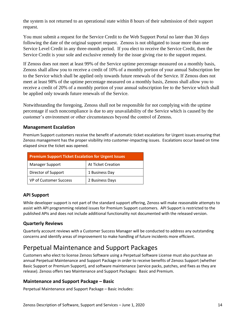the system is not returned to an operational state within 8 hours of their submission of their support request.

You must submit a request for the Service Credit to the Web Support Portal no later than 30 days following the date of the original support request. Zenoss is not obligated to issue more than one Service Level Credit in any three-month period. If you elect to receive the Service Credit, then the Service Credit is your sole and exclusive remedy for the issue giving rise to the support request.

If Zenoss does not meet at least 99% of the Service uptime percentage measured on a monthly basis, Zenoss shall allow you to receive a credit of 10% of a monthly portion of your annual Subscription fee to the Service which shall be applied only towards future renewals of the Service. If Zenoss does not meet at least 98% of the uptime percentage measured on a monthly basis, Zenoss shall allow you to receive a credit of 20% of a monthly portion of your annual subscription fee to the Service which shall be applied only towards future renewals of the Service.

Notwithstanding the foregoing, Zenoss shall not be responsible for not complying with the uptime percentage if such noncompliance is due to any unavailability of the Service which is caused by the customer's environment or other circumstances beyond the control of Zenoss.

# **Management Escalation**

Premium Support customers receive the benefit of automatic ticket escalations for Urgent issues ensuring that Zenoss management has the proper visibility into customer-impacting issues. Escalations occur based on time elapsed since the ticket was opened.

| <b>Premium Support Ticket Escalation for Urgent Issues</b> |                    |  |
|------------------------------------------------------------|--------------------|--|
| <b>Manager Support</b>                                     | At Ticket Creation |  |
| Director of Support                                        | 1 Business Day     |  |
| <b>VP of Customer Success</b>                              | 2 Business Days    |  |

# **API Support**

While developer support is not part of the standard support offering, Zenoss will make reasonable attempts to assist with API programming related issues for Premium Support customers. API Support is restricted to the published APIs and does not include additional functionality not documented with the released version.

# **Quarterly Reviews**

Quarterly account reviews with a Customer Success Manager will be conducted to address any outstanding concerns and identify areas of improvement to make handling of future incidents more efficient.

# Perpetual Maintenance and Support Packages

Customers who elect to license Zenoss Software using a Perpetual Software License must also purchase an annual Perpetual Maintenance and Support Package in order to receive benefits of Zenoss Support (whether Basic Support or Premium Support), and software maintenance (service packs, patches, and fixes as they are release). Zenoss offers two Maintenance and Support Packages: Basic and Premium.

# **Maintenance and Support Package – Basic**

Perpetual Maintenance and Support Package – Basic includes: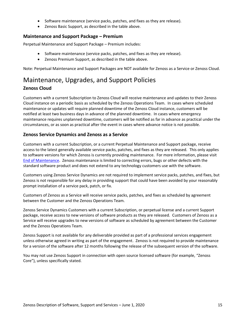- Software maintenance (service packs, patches, and fixes as they are release).
- Zenoss Basic Support, as described in the table above.

## **Maintenance and Support Package – Premium**

Perpetual Maintenance and Support Package – Premium includes:

- Software maintenance (service packs, patches, and fixes as they are release).
- Zenoss Premium Support, as described in the table above.

Note: Perpetual Maintenance and Support Packages are NOT available for Zenoss as a Service or Zenoss Cloud.

# Maintenance, Upgrades, and Support Policies **Zenoss Cloud**

Customers with a current Subscription to Zenoss Cloud will receive maintenance and updates to their Zenoss Cloud instance on a periodic basis as scheduled by the Zenoss Operations Team. In cases where scheduled maintenance or updates will require planned downtime of the Zenoss Cloud instance, customers will be notified at least two business days in advance of the planned downtime. In cases where emergency maintenance requires unplanned downtime, customers will be notified as far in advance as practical under the circumstances, or as soon as practical after the event in cases where advance notice is not possible.

# **Zenoss Service Dynamics and Zenoss as a Service**

Customers with a current Subscription, or a current Perpetual Maintenance and Support package, receive access to the latest generally available service packs, patches, and fixes as they are released. This only applies to software versions for which Zenoss is currently providing maintenance. For more information, please visit [End of Maintenance.](https://support.zenoss.com/hc/en-us/articles/202991725-End-of-Life-Product-Support-Dates-) Zenoss maintenance is limited to correcting errors, bugs or other defects with the standard software product and does not extend to any technology customers use with the software.

Customers using Zenoss Service Dynamics are not required to implement service packs, patches, and fixes, but Zenoss is not responsible for any delay in providing support that could have been avoided by your reasonably prompt installation of a service pack, patch, or fix.

Customers of Zenoss as a Service will receive service packs, patches, and fixes as scheduled by agreement between the Customer and the Zenoss Operations Team.

Zenoss Service Dynamics Customers with a current Subscription, or perpetual license and a current Support package, receive access to new versions of software products as they are released. Customers of Zenoss as a Service will receive upgrades to new versions of software as scheduled by agreement between the Customer and the Zenoss Operations Team.

Zenoss Support is not available for any deliverable provided as part of a professional services engagement unless otherwise agreed in writing as part of the engagement. Zenoss is not required to provide maintenance for a version of the software after 12 months following the release of the subsequent version of the software.

You may not use Zenoss Support in connection with open source licensed software (for example, "Zenoss Core"), unless specifically stated.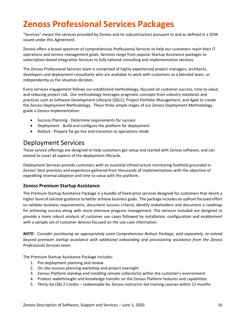# **Zenoss Professional Services Packages**

"Services" means the services provided by Zenoss and its subcontractors pursuant to and as defined in a SOW issued under this Agreement.

Zenoss offers a broad spectrum of comprehensive Professional Services to help our customers reach their IT operations and service management goals. Services range from popular Startup Assistance packages to subscription-based Integration Services to fully tailored consulting and implementation services.

The Zenoss Professional Services team is comprised of highly experienced project managers, architects, developers and deployment consultants who are available to work with customers as a blended team, or independently as the situation dictates.

Every services engagement follows our established methodology, focused on customer success, time to value, and reducing project risk. Our methodology leverages pragmatic concepts from industry standards and practices such as Software Development Lifecycle (SDLC), Project Portfolio Management, and Agile to create the Zenoss Deployment Methodology. These three simple stages of our Zenoss Deployment Methodology guide a Zenoss implementation:

- Success Planning Determine requirements for success
- Deployment Build and configure the platform for deployment
- Rollout Prepare for go-live and transition to operations mode

# Deployment Services

These service offerings are designed to help customers get setup and started with Zenoss software, and can extend to cover all aspects of the deployment lifecycle.

Deployment Services provide customers with an essential infrastructure monitoring foothold grounded in Zenoss' best practices and experience gathered from thousands of implementations with the objective of expediting internal adoption and time to value with the platform.

# **Zenoss Premium Startup Assistance**

The Premium Startup Assistance Package is a bundle of fixed-price services designed for customers that desire a higher level of solution guidance to better achieve business goals. The package includes an upfront focused effort to validate business requirements, document success criteria, identify stakeholders and document a roadmap for achieving success along with more intensive program management. The services included are designed to provide a more robust analysis of customer use cases followed by installation, configuration and enablement with a sample set of customer devices focused on the use case information.

*NOTE: Consider purchasing an appropriately-sized Comprehensive Rollout Package, sold separately, to extend beyond premium startup assistance with additional onboarding and provisioning assistance from the Zenoss Professional Services team.*

The Premium Startup Assistance Package includes:

- 1. Pre-deployment planning and review
- 2. On-site success planning workshop and project oversight
- 3. Zenoss Platform standup and installing remote collector(s) within the customer's environment
- 4. Product walkthroughs and knowledge transfer on the Zenoss Platform features and capabilities
- 5. Thirty-Six (36) Z Credits redeemable for Zenoss instructor-led training courses within 12 months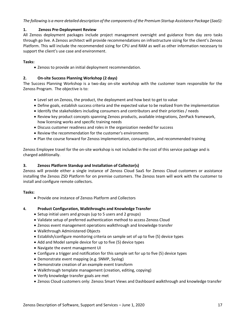*The following is a more detailed description of the components of the Premium Startup Assistance Package* (*SaaS):*

### **1. Zenoss Pre-Deployment Review**

All Zenoss deployment packages include project management oversight and guidance from day zero tasks through go live. A Zenoss architect will provide recommendations on infrastructure sizing for the client's Zenoss Platform. This will include the recommended sizing for CPU and RAM as well as other information necessary to support the client's use case and environment.

### **Tasks:**

• Zenoss to provide an initial deployment recommendation.

### **2. On-site Success Planning Workshop (2 days)**

The Success Planning Workshop is a two-day on-site workshop with the customer team responsible for the Zenoss Program. The objective is to:

- Level set on Zenoss, the product, the deployment and how best to get to value
- Define goals, establish success criteria and the expected value to be realized from the implementation
- Identify the stakeholders including consumers and contributors and their priorities / needs
- Review key product concepts spanning Zenoss products, available integrations, ZenPack framework, how licensing works and specific training needs
- Discuss customer readiness and roles in the organization needed for success
- Review the recommendation for the customer's environments
- Plan the course forward for Zenoss implementation, consumption, and recommended training

Zenoss Employee travel for the on-site workshop is not included in the cost of this service package and is charged additionally.

#### **3. Zenoss Platform Standup and Installation of Collector(s)**

Zenoss will provide either a single instance of Zenoss Cloud SaaS for Zenoss Cloud customers or assistance installing the Zenoss ZSD Platform for on premise customers. The Zenoss team will work with the customer to install and configure remote collectors.

#### **Tasks:**

• Provide one instance of Zenoss Platform and Collectors

#### **4. Product Configuration, Walkthroughs and Knowledge Transfer**

- Setup initial users and groups (up to 5 users and 2 groups)
- Validate setup of preferred authentication method to access Zenoss Cloud
- Zenoss event management operations walkthrough and knowledge transfer
- Walkthrough Administered Objects
- Establish/configure monitoring criteria on sample set of up to five (5) device types
- Add and Model sample device for up to five (5) device types
- Navigate the event management UI
- Configure a trigger and notification for this sample set for up to five (5) device types
- Demonstrate event mapping (e.g. SNMP, Syslog)
- Demonstrate creation of an example event transform
- Walkthrough template management (creation, editing, copying)
- Verify knowledge transfer goals are met
- Zenoss Cloud customers only: Zenoss Smart Views and Dashboard walkthrough and knowledge transfer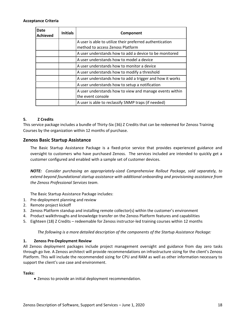#### **Acceptance Criteria**

| Date<br>  Achieved | <b>Initials</b> | Component                                                                                    |
|--------------------|-----------------|----------------------------------------------------------------------------------------------|
|                    |                 | A user is able to utilize their preferred authentication<br>method to access Zenoss Platform |
|                    |                 | A user understands how to add a device to be monitored                                       |
|                    |                 | A user understands how to model a device                                                     |
|                    |                 | A user understands how to monitor a device                                                   |
|                    |                 | A user understands how to modify a threshold                                                 |
|                    |                 | A user understands how to add a trigger and how it works                                     |
|                    |                 | A user understands how to setup a notification                                               |
|                    |                 | A user understands how to view and manage events within<br>the event console                 |
|                    |                 | A user is able to reclassify SNMP traps (if needed)                                          |

#### **5. Z Credits**

This service package includes a bundle of Thirty-Six (36) Z Credits that can be redeemed for Zenoss Training Courses by the organization within 12 months of purchase.

### **Zenoss Basic Startup Assistance**

The Basic Startup Assistance Package is a fixed-price service that provides experienced guidance and oversight to customers who have purchased Zenoss. The services included are intended to quickly get a customer configured and enabled with a sample set of customer devices.

*NOTE: Consider purchasing an appropriately-sized Comprehensive Rollout Package, sold separately, to extend beyond foundational startup assistance with additional onboarding and provisioning assistance from the Zenoss Professional Services team.*

The Basic Startup Assistance Package includes:

- 1. Pre-deployment planning and review
- 2. Remote project kickoff
- 3. Zenoss Platform standup and installing remote collector(s) within the customer's environment
- 4. Product walkthroughs and knowledge transfer on the Zenoss Platform features and capabilities
- 5. Eighteen (18) Z Credits redeemable for Zenoss instructor-led training courses within 12 months

*The following is a more detailed description of the components of the Startup Assistance Package:*

#### **1. Zenoss Pre-Deployment Review**

All Zenoss deployment packages include project management oversight and guidance from day zero tasks through go live. A Zenoss architect will provide recommendations on infrastructure sizing for the client's Zenoss Platform. This will include the recommended sizing for CPU and RAM as well as other information necessary to support the client's use case and environment.

#### **Tasks:**

• Zenoss to provide an initial deployment recommendation.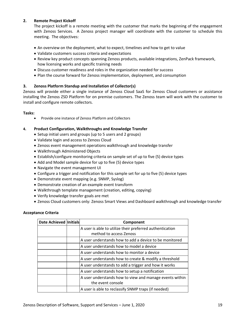### **2. Remote Project Kickoff**

The project kickoff is a remote meeting with the customer that marks the beginning of the engagement with Zenoss Services. A Zenoss project manager will coordinate with the customer to schedule this meeting. The objectives:

- An overview on the deployment, what to expect, timelines and how to get to value
- Validate customers success criteria and expectations
- Review key product concepts spanning Zenoss products, available integrations, ZenPack framework, how licensing works and specific training needs
- Discuss customer readiness and roles in the organization needed for success
- Plan the course forward for Zenoss implementation, deployment, and consumption

### **3. Zenoss Platform Standup and Installation of Collector(s)**

Zenoss will provide either a single instance of Zenoss Cloud SaaS for Zenoss Cloud customers or assistance installing the Zenoss ZSD Platform for on premise customers. The Zenoss team will work with the customer to install and configure remote collectors.

#### **Tasks:**

• Provide one instance of Zenoss Platform and Collectors

#### **4. Product Configuration, Walkthroughs and Knowledge Transfer**

- Setup initial users and groups (up to 5 users and 2 groups)
- Validate login and access to Zenoss Cloud
- Zenoss event management operations walkthrough and knowledge transfer
- Walkthrough Administered Objects
- Establish/configure monitoring criteria on sample set of up to five (5) device types
- Add and Model sample device for up to five (5) device types
- Navigate the event management UI
- Configure a trigger and notification for this sample set for up to five (5) device types
- Demonstrate event mapping (e.g. SNMP, Syslog)
- Demonstrate creation of an example event transform
- Walkthrough template management (creation, editing, copying)
- Verify knowledge transfer goals are met
- Zenoss Cloud customers only: Zenoss Smart Views and Dashboard walkthrough and knowledge transfer

#### **Acceptance Criteria**

| <b>Date Achieved Initials</b> | Component                                                |
|-------------------------------|----------------------------------------------------------|
|                               | A user is able to utilize their preferred authentication |
|                               | method to access Zenoss                                  |
|                               | A user understands how to add a device to be monitored   |
|                               | A user understands how to model a device                 |
|                               | A user understands how to monitor a device               |
|                               | A user understands how to create & modify a threshold    |
|                               | A user understands to add a trigger and how it works     |
|                               | A user understands how to setup a notification           |
|                               | A user understands how to view and manage events within  |
|                               | the event console                                        |
|                               | A user is able to reclassify SNMP traps (if needed)      |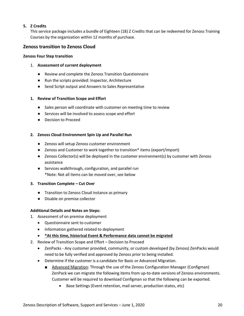# **5. Z Credits**

This service package includes a bundle of Eighteen (18) Z Credits that can be redeemed for Zenoss Training Courses by the organization within 12 months of purchase.

# **Zenoss transition to Zenoss Cloud**

#### **Zenoss Four Step transition**

### 1. **Assessment of current deployment**

- Review and complete the Zenoss Transition Questionnaire
- Run the scripts provided: Inspector, Architecture
- Send Script output and Answers to Sales Representative

### **1. Review of Transition Scope and Effort**

- Sales person will coordinate with customer on meeting time to review
- Services will be involved to assess scope and effort
- Decision to Proceed

### **2. Zenoss Cloud Environment Spin Up and Parallel Run**

- Zenoss will setup Zenoss customer environment
- Zenoss and Customer to work together to transition\* items (export/import)
- Zenoss Collector(s) will be deployed in the customer environment(s) by customer with Zenoss assistance
- Services walkthrough, configuration, and parallel run \*Note: Not all items can be moved over, see below

#### **3. Transition Complete – Cut Over**

- Transition to Zenoss Cloud instance as primary
- Disable on premise collector

## **Additional Details and Notes on Steps:**

- 1. Assessment of on premise deployment
	- Questionnaire sent to customer
	- Information gathered related to deployment
	- **\*At this time, historical Event & Performance data cannot be migrated**
- 2. Review of Transition Scope and Effort Decision to Proceed
	- ZenPacks Any customer provided, community, or custom developed (by Zenoss) ZenPacks would need to be fully verified and approved by Zenoss prior to being installed.
	- Determine if the customer is a candidate for Basic or Advanced Migration.
		- Advanced Migration: Through the use of the Zenoss Configuration Manager (Configman) ZenPack we can migrate the following items from up-to-date versions of Zenoss environments. Customer will be required to download Configman so that the following can be exported.
			- Base Settings (Event retention, mail server, production states, etc)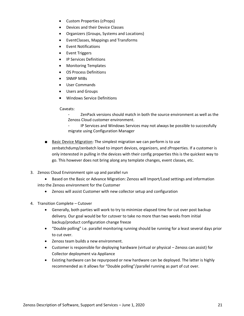- Custom Properties (cProps)
- Devices and their Device Classes
- Organizers (Groups, Systems and Locations)
- EventClasses, Mappings and Transforms
- Event Notifications
- Event Triggers
- IP Services Definitions
- Monitoring Templates
- OS Process Definitions
- SNMP MIBs
- User Commands
- Users and Groups
- Windows Service Definitions

Caveats:

- ZenPack versions should match in both the source environment as well as the Zenoss Cloud customer environment.
- IP Services and Windows Services may not always be possible to successfully migrate using Configuration Manager
- Basic Device Migration: The simplest migration we can perform is to use zenbatchdump/zenbatch load to import devices, organizers, and zProperties. If a customer is only interested in pulling in the devices with their config properties this is the quickest way to go. This however does not bring along any template changes, event classes, etc.
- 3. Zenoss Cloud Environment spin up and parallel run
	- Based on the Basic or Advance Migration: Zenoss will Import/Load settings and information into the Zenoss environment for the Customer
		- Zenoss will assist Customer with new collector setup and configuration
- 4. Transition Complete Cutover
	- Generally, both parties will work to try to minimize elapsed time for cut over post backup delivery. Our goal would be for cutover to take no more than two weeks from initial backup/product configuration change freeze
	- "Double polling" i.e. parallel monitoring running should be running for a least several days prior to cut over.
	- Zenoss team builds a new environment.
	- Customer is responsible for deploying hardware (virtual or physical Zenoss can assist) for Collector deployment via Appliance
	- Existing hardware can be repurposed or new hardware can be deployed. The latter is highly recommended as it allows for "Double polling"/parallel running as part of cut over.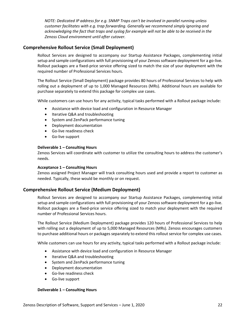*NOTE: Dedicated IP address for e.g. SNMP Traps can't be involved in parallel running unless customer facilitates with e.g. trap forwarding. Generally we recommend simply ignoring and acknowledging the fact that traps and syslog for example will not be able to be received in the Zenoss Cloud environment until after cutover.*

# **Comprehensive Rollout Service (Small Deployment)**

Rollout Services are designed to accompany our Startup Assistance Packages, complementing initial setup and sample configurations with full provisioning of your Zenoss software deployment for a go-live. Rollout packages are a fixed-price service offering sized to match the size of your deployment with the required number of Professional Services hours.

The Rollout Service (Small Deployment) package provides 80 hours of Professional Services to help with rolling out a deployment of up to 1,000 Managed Resources (MRs). Additional hours are available for purchase separately to extend this package for complex use cases.

While customers can use hours for any activity, typical tasks performed with a Rollout package include:

- Assistance with device load and configuration in Resource Manager
- Iterative Q&A and troubleshooting
- System and ZenPack performance tuning
- Deployment documentation
- Go-live readiness check
- Go-live support

#### **Deliverable 1 – Consulting Hours**

Zenoss Services will coordinate with customer to utilize the consulting hours to address the customer's needs.

#### **Acceptance 1 – Consulting Hours**

Zenoss assigned Project Manager will track consulting hours used and provide a report to customer as needed. Typically, these would be monthly or on request.

## **Comprehensive Rollout Service (Medium Deployment)**

Rollout Services are designed to accompany our Startup Assistance Packages, complementing initial setup and sample configurations with full provisioning of your Zenoss software deployment for a go-live. Rollout packages are a fixed-price service offering sized to match your deployment with the required number of Professional Services hours.

The Rollout Service (Medium Deployment) package provides 120 hours of Professional Services to help with rolling out a deployment of up to 5,000 Managed Resources (MRs). Zenoss encourages customers to purchase additional hours or packages separately to extend this rollout service for complex use cases.

While customers can use hours for any activity, typical tasks performed with a Rollout package include:

- Assistance with device load and configuration in Resource Manager
- Iterative Q&A and troubleshooting
- System and ZenPack performance tuning
- Deployment documentation
- Go-live readiness check
- Go-live support

#### **Deliverable 1 – Consulting Hours**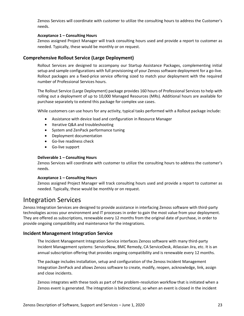Zenoss Services will coordinate with customer to utilize the consulting hours to address the Customer's needs.

#### **Acceptance 1 – Consulting Hours**

Zenoss assigned Project Manager will track consulting hours used and provide a report to customer as needed. Typically, these would be monthly or on request.

# **Comprehensive Rollout Service (Large Deployment)**

Rollout Services are designed to accompany our Startup Assistance Packages, complementing initial setup and sample configurations with full provisioning of your Zenoss software deployment for a go-live. Rollout packages are a fixed-price service offering sized to match your deployment with the required number of Professional Services hours.

The Rollout Service (Large Deployment) package provides 160 hours of Professional Services to help with rolling out a deployment of up to 10,000 Managed Resources (MRs). Additional hours are available for purchase separately to extend this package for complex use cases.

While customers can use hours for any activity, typical tasks performed with a Rollout package include:

- Assistance with device load and configuration in Resource Manager
- Iterative Q&A and troubleshooting
- System and ZenPack performance tuning
- Deployment documentation
- Go-live readiness check
- Go-live support

#### **Deliverable 1 – Consulting Hours**

Zenoss Services will coordinate with customer to utilize the consulting hours to address the customer's needs.

#### **Acceptance 1 – Consulting Hours**

Zenoss assigned Project Manager will track consulting hours used and provide a report to customer as needed. Typically, these would be monthly or on request.

# Integration Services

Zenoss Integration Services are designed to provide assistance in interfacing Zenoss software with third-party technologies across your environment and IT processes in order to gain the most value from your deployment. They are offered as subscriptions, renewable every 12 months from the original date of purchase, in order to provide ongoing compatibility and maintenance for the integrations.

## **Incident Management Integration Service**

The Incident Management Integration Service interfaces Zenoss software with many third-party Incident Management systems: ServiceNow, BMC Remedy, CA ServiceDesk, Atlassian Jira, etc. It is an annual subscription offering that provides ongoing compatibility and is renewable every 12 months.

The package includes installation, setup and configuration of the Zenoss Incident Management Integration ZenPack and allows Zenoss software to create, modify, reopen, acknowledge, link, assign and close incidents.

Zenoss integrates with these tools as part of the problem-resolution workflow that is initiated when a Zenoss event is generated. The integration is bidirectional, so when an event is closed in the incident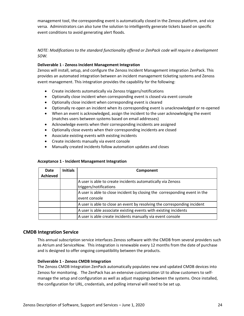management tool, the corresponding event is automatically closed in the Zenoss platform, and vice versa. Administrators can also tune the solution to intelligently generate tickets based on specific event conditions to avoid generating alert floods.

*NOTE: Modifications to the standard functionality offered or ZenPack code will require a development SOW.*

### **Deliverable 1 - Zenoss Incident Management Integration**

Zenoss will install, setup, and configure the Zenoss Incident Management integration ZenPack. This provides an automated integration between an incident management ticketing systems and Zenoss event management. This integration provides the capability for the following:

- Create incidents automatically via Zenoss triggers/notifications
- Optionally close incident when corresponding event is closed via event console
- Optionally close incident when corresponding event is cleared
- Optionally re-open an incident when its corresponding event is unacknowledged or re-opened
- When an event is acknowledged, assign the incident to the user acknowledging the event (matches users between systems based on email addresses)
- Acknowledge events when their corresponding incidents are assigned
- Optionally close events when their corresponding incidents are closed
- Associate existing events with existing incidents
- Create incidents manually via event console
- Manually created incidents follow automation updates and closes

#### **Acceptance 1 - Incident Management Integration**

| Date     | <b>Initials</b> | Component                                                                  |
|----------|-----------------|----------------------------------------------------------------------------|
| Achieved |                 |                                                                            |
|          |                 | A user is able to create incidents automatically via Zenoss                |
|          |                 | triggers/notifications                                                     |
|          |                 | A user is able to close incident by closing the corresponding event in the |
|          |                 | event console                                                              |
|          |                 | A user is able to close an event by resolving the corresponding incident   |
|          |                 | A user is able associate existing events with existing incidents           |
|          |                 | A user is able create incidents manually via event console                 |

## **CMDB Integration Service**

This annual subscription service interfaces Zenoss software with the CMDB from several providers such as Atrium and ServiceNow. This integration is renewable every 12 months from the date of purchase and is designed to offer ongoing compatibility between the products.

#### **Deliverable 1 - Zenoss CMDB Integration**

The Zenoss CMDB Integration ZenPack automatically populates new and updated CMDB devices into Zenoss for monitoring. The ZenPack has an extensive customization UI to allow customers to selfmanage the setup and configuration as well as adjust mappings between the systems. Once installed, the configuration for URL, credentials, and polling interval will need to be set up.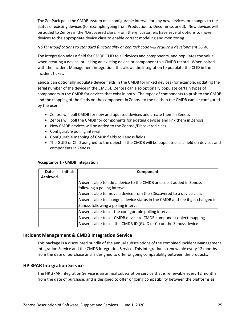The ZenPack polls the CMDB system on a configurable interval for any new devices, or changes to the status of existing devices (for example, going from Production to Decommissioned). New devices will be added to Zenoss in the /Discovered class. From there, customers have several options to move devices to the appropriate device class to enable correct modeling and monitoring.

## *NOTE: Modifications to standard functionality or ZenPack code will require a development SOW.*

The integration adds a field for CMDB CI ID to all devices and components, and populates the value when creating a device, or linking an existing device or component to a CMDB record. When paired with the Incident Management integration, this allows the integration to populate the CI ID in the incident ticket.

Zenoss can optionally populate device fields in the CMDB for linked devices (for example, updating the serial number of the device in the CMDB). Zenoss can also optionally populate certain types of components in the CMDB for devices that exist in both. The types of components to push to the CMDB and the mapping of the fields on the component in Zenoss to the fields in the CMDB can be configured by the user.

- Zenoss will poll CMDB for new and updated devices and create them in Zenoss
- Zenoss will poll the CMDB for components for existing devices and link them in Zenoss
- New CMDB devices will be added to the Zenoss /Discovered class
- Configurable polling interval
- Configurable mapping of CMDB fields to Zenoss fields
- The GUID or CI ID assigned to the object in the CMDB will be populated as a field on devices and components in Zenoss

| Date            | <b>Initials</b> | Component                                                                      |
|-----------------|-----------------|--------------------------------------------------------------------------------|
| <b>Achieved</b> |                 |                                                                                |
|                 |                 | A user is able to add a device to the CMDB and see it added in Zenoss          |
|                 |                 | following a polling interval                                                   |
|                 |                 | A user is able to move a device from the /Discovered to a device class         |
|                 |                 | A user is able to change a device status in the CMDB and see it get changed in |
|                 |                 | Zenoss following a polling interval                                            |
|                 |                 | A user is able to set the configurable polling interval                        |
|                 |                 | A user is able to set CMDB device to CMDB component object mapping             |
|                 |                 | A user is able to see the CMDB ID (GUID or CI) on the Zenoss device            |

## **Acceptance 1 - CMDB Integration**

# **Incident Management & CMDB Integration Service**

This package is a discounted bundle of the annual subscriptions of the combined Incident Management Integration Service and the CMDB Integration Service. This integration is renewable every 12 months from the date of purchase and is designed to offer ongoing compatibility between the products.

## **HP 3PAR Integration Service**

The HP 3PAR Integration Service is an annual subscription service that is renewable every 12 months from the date of purchase, and is designed to offer ongoing compatibility between the platforms as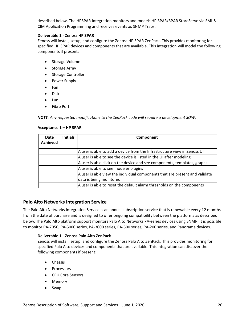described below. The HP3PAR Integration monitors and models HP 3PAR/3PAR StoreServe via SMI-S CIM Application Programming and receives events as SNMP Traps.

### **Deliverable 1 - Zenoss HP 3PAR**

Zenoss will install, setup, and configure the Zenoss HP 3PAR ZenPack. This provides monitoring for specified HP 3PAR devices and components that are available. This integration will model the following components if present:

- Storage Volume
- Storage Array
- Storage Controller
- Power Supply
- Fan
- Disk
- Lun
- Fibre Port

*NOTE: Any requested modifications to the ZenPack code will require a development SOW.*

|  | Acceptance 1 - HP 3PAR |
|--|------------------------|
|--|------------------------|

| Date<br><b>Achieved</b> | <b>Initials</b> | Component                                                                   |
|-------------------------|-----------------|-----------------------------------------------------------------------------|
|                         |                 | A user is able to add a device from the Infrastructure view in Zenoss UI    |
|                         |                 | A user is able to see the device is listed in the UI after modeling         |
|                         |                 | A user is able click on the device and see components, templates, graphs    |
|                         |                 | A user is able to see modeler plugins                                       |
|                         |                 | A user is able view the individual components that are present and validate |
|                         |                 | data is being monitored                                                     |
|                         |                 | A user is able to reset the default alarm thresholds on the components      |

## **Palo Alto Networks Integration Service**

The Palo Alto Networks Integration Service is an annual subscription service that is renewable every 12 months from the date of purchase and is designed to offer ongoing compatibility between the platforms as described below. The Palo Alto platform support monitors Palo Alto Networks PA-series devices using SNMP. It is possible to monitor PA-7050, PA-5000 series, PA-3000 series, PA-500 series, PA-200 series, and Panorama devices.

#### **Deliverable 1 - Zenoss Palo Alto ZenPack**

Zenoss will install, setup, and configure the Zenoss Palo Alto ZenPack. This provides monitoring for specified Palo Alto devices and components that are available. This integration can discover the following components if present:

- Chassis
- Processors
- CPU Core Sensors
- Memory
- Swap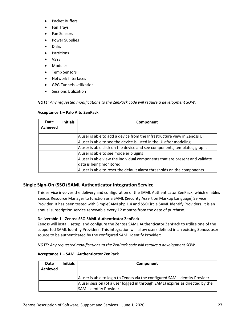- Packet Buffers
- Fan Trays
- Fan Sensors
- Power Supplies
- Disks
- **Partitions**
- VSYS
- Modules
- Temp Sensors
- Network Interfaces
- GPG Tunnels Utilization
- Sessions Utilization

*NOTE: Any requested modifications to the ZenPack code will require a development SOW.*

#### **Acceptance 1 – Palo Alto ZenPack**

| Date<br><b>Achieved</b> | <b>Initials</b> | Component                                                                   |
|-------------------------|-----------------|-----------------------------------------------------------------------------|
|                         |                 | A user is able to add a device from the Infrastructure view in Zenoss UI    |
|                         |                 | A user is able to see the device is listed in the UI after modeling         |
|                         |                 | A user is able click on the device and see components, templates, graphs    |
|                         |                 | A user is able to see modeler plugins                                       |
|                         |                 | A user is able view the individual components that are present and validate |
|                         |                 | data is being monitored                                                     |
|                         |                 | A user is able to reset the default alarm thresholds on the components      |

# **Single Sign-On (SSO) SAML Authenticator Integration Service**

This service involves the delivery and configuration of the SAML Authenticator ZenPack, which enables Zenoss Resource Manager to function as a SAML (Security Assertion Markup Language) Service Provider. It has been tested with SimpleSAMLphp 1.4 and SSOCircle SAML Identify Providers. It is an annual subscription service renewable every 12 months from the date of purchase.

#### **Deliverable 1 - Zenoss SSO SAML Authenticator ZenPack**

Zenoss will install, setup, and configure the Zenoss SAML Authenticator ZenPack to utilize one of the supported SAML Identify Providers. This integration will allow users defined in an existing Zenoss user source to be authenticated by the configured SAML Identify Provider:

*NOTE: Any requested modifications to the ZenPack code will require a development SOW.*

#### **Acceptance 1 – SAML Authenticator ZenPack**

| Date<br>Achieved | <b>Initials</b> | Component                                                                                                     |
|------------------|-----------------|---------------------------------------------------------------------------------------------------------------|
|                  |                 | A user is able to login to Zenoss via the configured SAML Identity Provider                                   |
|                  |                 | A user session (of a user logged in through SAML) expires as directed by the<br><b>SAML Identity Provider</b> |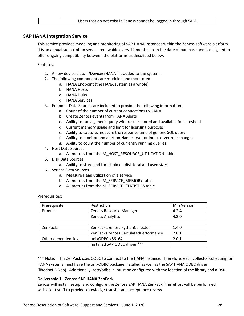|  | Users that do not exist in Zenoss cannot be logged in through SAML |
|--|--------------------------------------------------------------------|
|  |                                                                    |

## **SAP HANA Integration Service**

This service provides modeling and monitoring of SAP HANA instances within the Zenoss software platform. It is an annual subscription service renewable every 12 months from the date of purchase and is designed to offer ongoing compatibility between the platforms as described below.

Features:

- 1. A new device class ``/Devices/HANA`` is added to the system.
- 2. The following components are modeled and monitored:
	- a. HANA Endpoint (the HANA system as a whole)
	- b. HANA Hosts
	- c. HANA Disks
	- d. HANA Services
- 3. Endpoint Data Sources are included to provide the following information:
	- a. Count of the number of current connections to HANA
	- b. Create Zenoss events from HANA Alerts
	- c. Ability to run a generic query with results stored and available for threshold
	- d. Current memory usage and limit for licensing purposes
	- e. Ability to capture/measure the response time of generic SQL query
	- f. Ability to monitor and alert on Nameserver or Indexserver role changes
	- g. Ability to count the number of currently running queries
- 4. Host Data Sources
	- a. All metrics from the M\_HOST\_RESOURCE\_UTILIZATION table
- 5. Disk Data Sources
	- a. Ability to store and threshold on disk total and used sizes
- 6. Service Data Sources
	- a. Measure Heap utilization of a service
	- b. All metrics from the M\_SERVICE\_MEMORY table
	- c. All metrics from the M\_SERVICE\_STATISTICS table

Prerequisites:

| Prerequisite       | Restriction                           | Min Version |
|--------------------|---------------------------------------|-------------|
| Product            | Zenoss Resource Manager               | 4.2.4       |
|                    | Zenoss Analytics                      | 4.3.0       |
|                    |                                       |             |
| <b>ZenPacks</b>    | ZenPacks.zenoss.PythonCollector       | 1.4.0       |
|                    | ZenPacks.zenoss.CalculatedPerformance | 2.0.1       |
| Other dependencies | unixODBC.x86_64                       | 2.0.1       |
|                    | Installed SAP ODBC driver ***         |             |

\*\*\* Note: This ZenPack uses ODBC to connect to the HANA instance. Therefore, each collector collecting for HANA systems must have the unixODBC package installed as well as the SAP HANA ODBC driver (libodbcHDB.so). Additionally, /etc/odbc.ini must be configured with the location of the library and a DSN.

## **Deliverable 1 - Zenoss SAP HANA ZenPack**

Zenoss will install, setup, and configure the Zenoss SAP HANA ZenPack. This effort will be performed with client staff to provide knowledge transfer and acceptance review.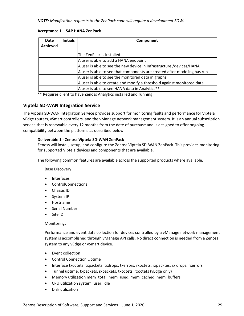*NOTE: Modification requests to the ZenPack code will require a development SOW.*

#### **Acceptance 1 – SAP HANA ZenPack**

| Date<br><b>Achieved</b> | <b>Initials</b> | Component                                                                |
|-------------------------|-----------------|--------------------------------------------------------------------------|
|                         |                 | The ZenPack is installed                                                 |
|                         |                 | A user is able to add a HANA endpoint                                    |
|                         |                 | A user is able to see the new device in Infrastructure /devices/HANA     |
|                         |                 | A user is able to see that components are created after modeling has run |
|                         |                 | A user is able to see the monitored data in graphs                       |
|                         |                 | A user is able to create and modify a threshold against monitored data   |
|                         |                 | A user is able to see HANA data in Analytics**                           |

\*\* Requires client to have Zenoss Analytics installed and running

# **Viptela SD-WAN Integration Service**

The Viptela SD-WAN Integration Service provides support for monitoring faults and performance for Viptela vEdge routers, vSmart controllers, and the vManage network management system. It is an annual subscription service that is renewable every 12 months from the date of purchase and is designed to offer ongoing compatibility between the platforms as described below.

#### **Deliverable 1 - Zenoss Viptela SD-WAN ZenPack**

Zenoss will install, setup, and configure the Zenoss Viptela SD-WAN ZenPack. This provides monitoring for supported Viptela devices and components that are available.

The following common features are available across the supported products where available.

Base Discovery:

- Interfaces
- ControlConnections
- Chassis ID
- System IP
- Hostname
- Serial Number
- Site ID

#### Monitoring:

Performance and event data collection for devices controlled by a vManage network management system is accomplished through vManage API calls. No direct connection is needed from a Zenoss system to any vEdge or vSmart device.

- Event collection
- Control Connection Uptime
- Interface txoctets, txpackets, txdrops, txerrors, rxoctets, rxpacktes, rx drops, rxerrors
- Tunnel uptime, txpackets, rxpackets, txoctets, rxoctets (vEdge only)
- Memory utilization mem\_total, mem\_used, mem\_cached, mem\_buffers
- CPU utilization system, user, idle
- Disk utilization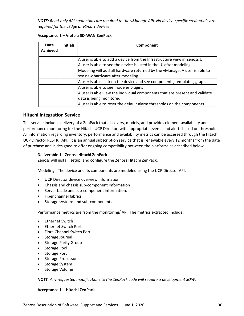*NOTE: Read-only API credentials are required to the vManage API. No device-specific credentials are required for the vEdge or vSmart devices*

| Date<br><b>Achieved</b> | <b>Initials</b> | Component                                                                                                    |
|-------------------------|-----------------|--------------------------------------------------------------------------------------------------------------|
|                         |                 | A user is able to add a device from the Infrastructure view in Zenoss UI                                     |
|                         |                 | A user is able to see the device is listed in the UI after modeling                                          |
|                         |                 | Modeling will add all hardware returned by the vManage. A user is able to<br>see new hardware after modeling |
|                         |                 | A user is able click on the device and see components, templates, graphs                                     |
|                         |                 | A user is able to see modeler plugins                                                                        |
|                         |                 | A user is able view the individual components that are present and validate<br>data is being monitored       |
|                         |                 | A user is able to reset the default alarm thresholds on the components                                       |

#### **Acceptance 1 – Viptela SD-WAN ZenPack**

## **Hitachi Integration Service**

This service includes delivery of a ZenPack that discovers, models, and provides element availability and performance monitoring for the Hitachi UCP Director, with appropriate events and alerts based on thresholds. All information regarding inventory, performance and availability metrics can be accessed through the Hitachi UCP Director RESTful API. It is an annual subscription service that is renewable every 12 months from the date of purchase and is designed to offer ongoing compatibility between the platforms as described below.

### **Deliverable 1 - Zenoss Hitachi ZenPack**

Zenoss will install, setup, and configure the Zenoss Hitachi ZenPack.

Modeling - The device and its components are modeled using the UCP Director API.

- UCP Director device overview information
- Chassis and chassis sub-component information
- Server blade and sub-component information.
- Fiber channel fabrics.
- Storage systems and sub-components.

Performance metrics are from the monitoring/ API. The metrics extracted include:

- Ethernet Switch
- Ethernet Switch Port
- Fibre Channel Switch Port
- Storage Journal
- Storage Parity Group
- Storage Pool
- Storage Port
- Storage Processor
- Storage System
- Storage Volume

*NOTE: Any requested modifications to the ZenPack code will require a development SOW.*

#### **Acceptance 1 – Hitachi ZenPack**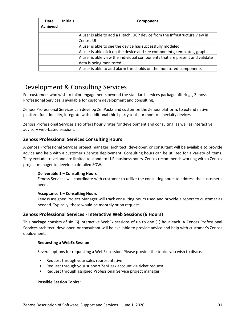| Date<br><b>Achieved</b> | <b>Initials</b> | Component                                                                   |
|-------------------------|-----------------|-----------------------------------------------------------------------------|
|                         |                 | A user is able to add a Hitachi UCP device from the Infrastructure view in  |
|                         |                 | Zenoss UI                                                                   |
|                         |                 | A user is able to see the device has successfully modeled                   |
|                         |                 | A user is able click on the device and see components, templates, graphs    |
|                         |                 | A user is able view the individual components that are present and validate |
|                         |                 | data is being monitored                                                     |
|                         |                 | A user is able to add alarm thresholds on the monitored components          |

# Development & Consulting Services

For customers who wish to tailor engagements beyond the standard services package offerings, Zenoss Professional Services is available for custom development and consulting.

Zenoss Professional Services can develop ZenPacks and customize the Zenoss platform, to extend native platform functionality, integrate with additional third-party tools, or monitor specialty devices.

Zenoss Professional Services also offers hourly rates for development and consulting, as well as interactive advisory web-based sessions.

# **Zenoss Professional Services Consulting Hours**

A Zenoss Professional Services project manager, architect, developer, or consultant will be available to provide advice and help with a customer's Zenoss deployment. Consulting hours can be utilized for a variety of items. They exclude travel and are limited to standard U.S. business hours. Zenoss recommends working with a Zenoss project manager to develop a detailed SOW.

## **Deliverable 1 – Consulting Hours**

Zenoss Services will coordinate with customer to utilize the consulting hours to address the customer's needs.

## **Acceptance 1 – Consulting Hours**

Zenoss assigned Project Manager will track consulting hours used and provide a report to customer as needed. Typically, these would be monthly or on request.

# **Zenoss Professional Services - Interactive Web Sessions (6 Hours)**

This package consists of six (6) interactive WebEx sessions of up to one (1) hour each. A Zenoss Professional Services architect, developer, or consultant will be available to provide advice and help with customer's Zenoss deployment.

## **Requesting a WebEx Session:**

Several options for requesting a WebEx session. Please provide the topics you wish to discuss.

- Request through your sales representative
- Request through your support ZenDesk account via ticket request
- Request through assigned Professional Service project manager

#### **Possible Session Topics:**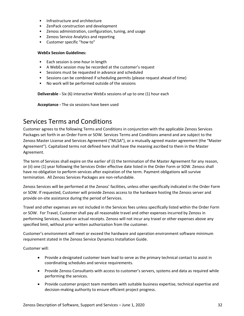- Infrastructure and architecture
- ZenPack construction and development
- Zenoss administration, configuration, tuning, and usage
- Zenoss Service Analytics and reporting
- Customer specific "how to"

#### **WebEx Session Guidelines:**

- Each session is one-hour in length
- A WebEx session may be recorded at the customer's request
- Sessions must be requested in advance and scheduled
- Sessions can be combined if scheduling permits (please request ahead of time)
- No work will be performed outside of the sessions

**Deliverable -** Six (6) interactive WebEx sessions of up to one (1) hour each

**Acceptance -** The six sessions have been used

# Services Terms and Conditions

Customer agrees to the following Terms and Conditions in conjunction with the applicable Zenoss Services Packages set forth in an Order Form or SOW. Services Terms and Conditions amend and are subject to the Zenoss Master License and Services Agreement ("MLSA"), or a mutually agreed master agreement (the "Master Agreement"). Capitalized terms not defined here shall have the meaning ascribed to them in the Master Agreement.

The term of Services shall expire on the earlier of (i) the termination of the Master Agreement for any reason, or (ii) one (1) year following the Services Order effective date listed in the Order Form or SOW. Zenoss shall have no obligation to perform services after expiration of the term. Payment obligations will survive termination. All Zenoss Services Packages are non-refundable.

Zenoss Services will be performed at the Zenoss' facilities, unless other specifically indicated in the Order Form or SOW. If requested, Customer will provide Zenoss access to the hardware hosting the Zenoss server and provide on-site assistance during the period of Services.

Travel and other expenses are not included in the Services fees unless specifically listed within the Order Form or SOW. For Travel, Customer shall pay all reasonable travel and other expenses incurred by Zenoss in performing Services, based on actual receipts. Zenoss will not incur any travel or other expenses above any specified limit, without prior written authorization from the customer.

Customer's environment will meet or exceed the hardware and operation environment software minimum requirement stated in the Zenoss Service Dynamics Installation Guide.

Customer will:

- Provide a designated customer team lead to serve as the primary technical contact to assist in coordinating schedules and service requirements.
- Provide Zenoss Consultants with access to customer's servers, systems and data as required while performing the services.
- Provide customer project team members with suitable business expertise, technical expertise and decision-making authority to ensure efficient project progress.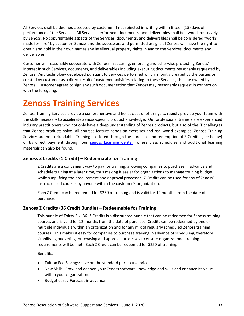All Services shall be deemed accepted by customer if not rejected in writing within fifteen (15) days of performance of the Services. All Services performed, documents, and deliverables shall be owned exclusively by Zenoss. No copyrightable aspects of the Services, documents, and deliverables shall be considered "works made for hire" by customer. Zenoss and the successors and permitted assigns of Zenoss will have the right to obtain and hold in their own names any intellectual property rights in and to the Services, documents and deliverables.

Customer will reasonably cooperate with Zenoss in securing, enforcing and otherwise protecting Zenoss' interest in such Services, documents, and deliverables including executing documents reasonably requested by Zenoss. Any technology developed pursuant to Services performed which is jointly created by the parties or created by customer as a direct result of customer activities relating to these Services, shall be owned by Zenoss. Customer agrees to sign any such documentation that Zenoss may reasonably request in connection with the foregoing.

# **Zenoss Training Services**

Zenoss Training Services provide a comprehensive and holistic set of offerings to rapidly provide your team with the skills necessary to accelerate Zenoss-specific product knowledge. Our professional trainers are experienced industry practitioners who not only have a deep understanding of Zenoss products, but also of the IT challenges that Zenoss products solve. All courses feature hands-on exercises and real-world examples. Zenoss Training Services are non-refundable. Training is offered through the purchase and redemption of Z Credits (see below) or by direct payment through our [Zenoss Learning Center,](https://training.zenoss.com/) where class schedules and additional learning materials can also be found.

# **Zenoss Z Credits (1 Credit) – Redeemable for Training**

Z Credits are a convenient way to pay for training, allowing companies to purchase in advance and schedule training at a later time, thus making it easier for organizations to manage training budget while simplifying the procurement and approval processes. Z Credits can be used for any of Zenoss' instructor-led courses by anyone within the customer's organization.

Each Z Credit can be redeemed for \$250 of training and is valid for 12 months from the date of purchase.

# **Zenoss Z Credits (36 Credit Bundle) – Redeemable for Training**

This bundle of Thirty-Six (36) Z Credits is a discounted bundle that can be redeemed for Zenoss training courses and is valid for 12 months from the date of purchase. Credits can be redeemed by one or multiple individuals within an organization and for any mix of regularly scheduled Zenoss training courses. This makes it easy for companies to purchase training in advance of scheduling, therefore simplifying budgeting, purchasing and approval processes to ensure organizational training requirements will be met. Each Z Credit can be redeemed for \$250 of training.

Benefits:

- Tuition Fee Savings: save on the standard per-course price.
- New Skills: Grow and deepen your Zenoss software knowledge and skills and enhance its value within your organization.
- Budget ease: Forecast in advance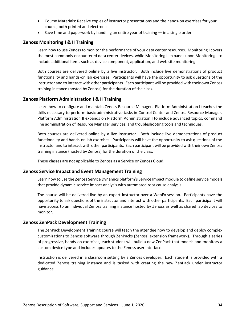- Course Materials: Receive copies of instructor presentations and the hands-on exercises for your course, both printed and electronic
- Save time and paperwork by handling an entire year of training in a single order

# **Zenoss Monitoring I & II Training**

Learn how to use Zenoss to monitor the performance of your data center resources. Monitoring I covers the most commonly encountered data center devices, while Monitoring II expands upon Monitoring I to include additional items such as device component, application, and web site monitoring.

Both courses are delivered online by a live instructor. Both include live demonstrations of product functionality and hands-on lab exercises. Participants will have the opportunity to ask questions of the instructor and to interact with other participants. Each participant will be provided with their own Zenoss training instance (hosted by Zenoss) for the duration of the class.

## **Zenoss Platform Administration I & II Training**

Learn how to configure and maintain Zenoss Resource Manager. Platform Administration I teaches the skills necessary to perform basic administrative tasks in Control Center and Zenoss Resource Manager. Platform Administration II expands on Platform Administration I to include advanced topics, command line administration of Resource Manager services, and troubleshooting tools and techniques.

Both courses are delivered online by a live instructor. Both include live demonstrations of product functionality and hands-on lab exercises. Participants will have the opportunity to ask questions of the instructor and to interact with other participants. Each participant will be provided with their own Zenoss training instance (hosted by Zenoss) for the duration of the class.

These classes are not applicable to Zenoss as a Service or Zenoss Cloud.

## **Zenoss Service Impact and Event Management Training**

Learn how to use the Zenoss Service Dynamics platform's Service Impact module to define service models that provide dynamic service impact analysis with automated root cause analysis.

The course will be delivered live by an expert instructor over a WebEx session. Participants have the opportunity to ask questions of the instructor and interact with other participants. Each participant will have access to an individual Zenoss training instance hosted by Zenoss as well as shared lab devices to monitor.

#### **Zenoss ZenPack Development Training**

The ZenPack Development Training course will teach the attendee how to develop and deploy complex customizations to Zenoss software through ZenPacks (Zenoss' extension framework). Through a series of progressive, hands-on exercises, each student will build a new ZenPack that models and monitors a custom device type and includes updates to the Zenoss user interface.

Instruction is delivered in a classroom setting by a Zenoss developer. Each student is provided with a dedicated Zenoss training instance and is tasked with creating the new ZenPack under instructor guidance.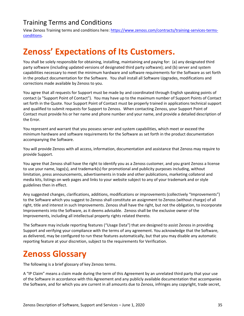# Training Terms and Conditions

View Zenoss Training terms and conditions here: [https://www.zenoss.com/contracts/training-services-terms](https://www.zenoss.com/contracts/training-services-terms-conditions)[conditions.](https://www.zenoss.com/contracts/training-services-terms-conditions)

# **Zenoss' Expectations of Its Customers.**

You shall be solely responsible for obtaining, installing, maintaining and paying for: (a) any designated third party software (including updated versions of designated third party software); and (b) server and system capabilities necessary to meet the minimum hardware and software requirements for the Software as set forth in the product documentation for the Software. You shall install all Software Upgrades, modifications and corrections made available by Zenoss to you.

You agree that all requests for Support must be made by and coordinated through English speaking points of contact (a "Support Point of Contact"). You may have up to the maximum number of Support Points of Contact set forth in the Quote. Your Support Point of Contact must be properly trained in applications technical support and qualified to submit requests for Support to Zenoss. When contacting Zenoss, your Support Point of Contact must provide his or her name and phone number and your name, and provide a detailed description of the Error.

You represent and warrant that you possess server and system capabilities, which meet or exceed the minimum hardware and software requirements for the Software as set forth in the product documentation accompanying the Software.

You will provide Zenoss with all access, information, documentation and assistance that Zenoss may require to provide Support.

You agree that Zenoss shall have the right to identify you as a Zenoss customer, and you grant Zenoss a license to use your name, logo(s), and trademark(s) for promotional and publicity purposes including, without limitation, press announcements, advertisements in trade and other publications, marketing collateral and media kits, listings on web pages and links to your website subject to any of your trademark and or style guidelines then in effect.

Any suggested changes, clarifications, additions, modifications or improvements (collectively "Improvements") to the Software which you suggest to Zenoss shall constitute an assignment to Zenoss (without charge) of all right, title and interest in such Improvements. Zenoss shall have the right, but not the obligation, to incorporate Improvements into the Software, as it deems advisable. Zenoss shall be the exclusive owner of the Improvements, including all intellectual property rights related thereto.

The Software may include reporting features ("Usage Data") that are designed to assist Zenoss in providing Support and verifying your compliance with the terms of any agreement. You acknowledge that the Software, as delivered, may be configured to run these features automatically, but that you may disable any automatic reporting feature at your discretion, subject to the requirements for Verification.

# **Zenoss Glossary**

The following is a brief glossary of key Zenoss terms.

A "IP Claim" means a claim made during the term of this Agreement by an unrelated third party that your use of the Software in accordance with this Agreement and any publicly available documentation that accompanies the Software, and for which you are current in all amounts due to Zenoss, infringes any copyright, trade secret,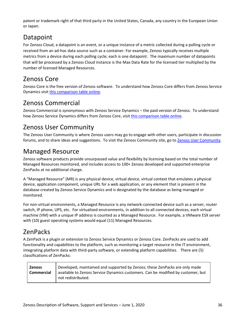patent or trademark right of that third party in the United States, Canada, any country in the European Union or Japan.

# Datapoint

For Zenoss Cloud, a datapoint is an event, or a unique instance of a metric collected during a polling cycle or received from an ad-hoc data source such as a container. For example, Zenoss typically receives multiple metrics from a device during each polling cycle; each is one datapoint. The maximum number of datapoints that will be processed by a Zenoss Cloud instance is the Max Data Rate for the licensed tier multiplied by the number of licensed Managed Resources.

# Zenoss Core

Zenoss Core is the free version of Zenoss software. To understand how Zenoss Core differs from Zenoss Service Dynamics visit [this comparison table online.](https://www.zenoss.com/product/platform-overview/#explore-our-open-platform-monitoring-options)

# Zenoss Commercial

Zenoss Commercial is synonymous with Zenoss Service Dynamics – the paid version of Zenoss. To understand how Zenoss Service Dynamics differs from Zenoss Core, visit [this comparison table online.](https://www.zenoss.com/product/platform-overview/#explore-our-open-platform-monitoring-options)

# Zenoss User Community

The Zenoss User Community is where Zenoss users may go to engage with other users, participate in discussion forums, and to share ideas and suggestions. To visit the Zenoss Community site, go to [Zenoss User Community.](https://community.zenoss.com/)

# Managed Resource

Zenoss software products provide unsurpassed value and flexibility by licensing based on the total number of Managed Resources monitored, and includes access to 100+ Zenoss developed and supported enterprise ZenPacks at no additional charge.

A "Managed Resource" (MR) is any physical device, virtual device, virtual context that emulates a physical device, application component, unique URL for a web application, or any element that is present in the database created by Zenoss Service Dynamics and is designated by the database as being managed or monitored.

For non-virtual environments, a Managed Resource is any network-connected device such as a server, router switch, IP phone, UPS, etc. For virtualized environments, in addition to all connected devices, each virtual machine (VM) with a unique IP address is counted as a Managed Resource. For example, a VMware ESX server with (10) guest operating systems would equal (11) Managed Resources.

# ZenPacks

A ZenPack is a plugin or extension to Zenoss Service Dynamics or Zenoss Core. ZenPacks are used to add functionality and capabilities to the platform, such as monitoring a target resource in the IT environment, integrating platform data with third-party software, or extending platform capabilities. There are (5) classifications of ZenPacks:

| <b>Zenoss</b> | Developed, maintained and supported by Zenoss; these ZenPacks are only made      |
|---------------|----------------------------------------------------------------------------------|
| Commercial    | available to Zenoss Service Dynamics customers. Can be modified by customer, but |
|               | not redistributed.                                                               |